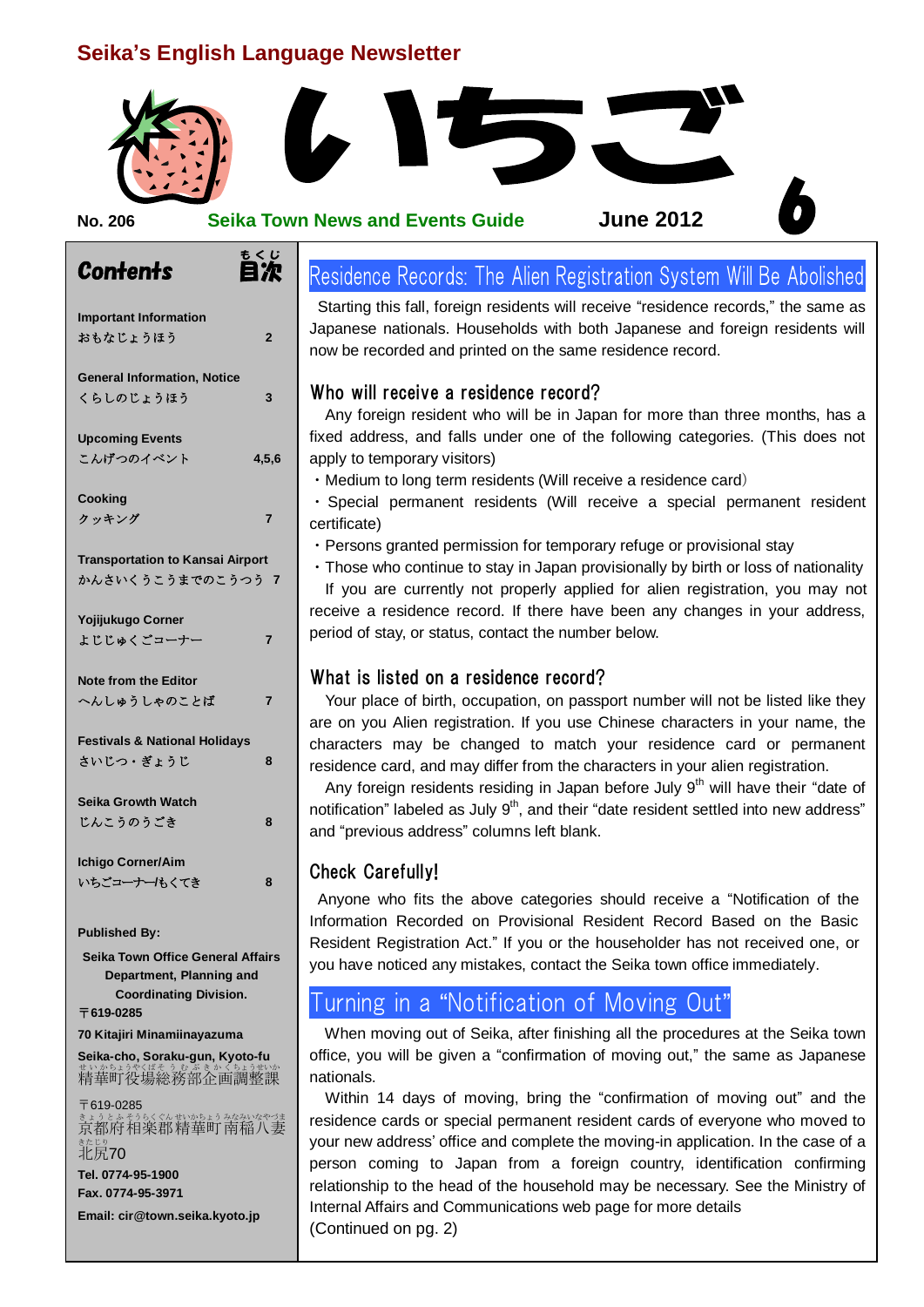# **Seika's English Language Newsletter**



**Contents** もくじ **Important Information** おもなじょうほう **2 General Information, Notice** くらしのじょうほう **3 Upcoming Events** こんげつのイベント **4,5,6 Cooking** クッキング **7 Transportation to Kansai Airport** かんさいくうこうまでのこうつう **7 Yojijukugo Corner** よじじゅくごコーナー **7 Note from the Editor** へんしゅうしゃのことば **7 Festivals & National Holidays** さいじつ・ぎょうじ **8 Seika Growth Watch** じんこうのうごき **8 Ichigo Corner/Aim** いちごコーナー**/**もくてき **8 Published By: Seika Town Office General Affairs Department, Planning and Coordinating Division.** 〒**619-0285 70 Kitajiri Minamiinayazuma**

**Seika-cho, Soraku-gun, Kyoto-fu** まいかちょうやくばそう むぶきかくちょうせいか<br>精華町役場総務部企画調整課

〒619-0285 <u>まうとふそうらくぐんせいがようみないなやづま</u> <sub>きたじり</sub><br>北尻70 **Tel. 0774-95-1900 Fax. 0774-95-3971 Email: cir@town.seika.kyoto.jp**

# Residence Records: The Alien Registration System Will Be Abolished

Starting this fall, foreign residents will receive "residence records," the same as Japanese nationals. Households with both Japanese and foreign residents will now be recorded and printed on the same residence record.

### Who will receive a residence record?

Any foreign resident who will be in Japan for more than three months, has a fixed address, and falls under one of the following categories. (This does not apply to temporary visitors)

- ・Medium to long term residents (Will receive a residence card)
- ・ Special permanent residents (Will receive a special permanent resident certificate)
- ・Persons granted permission for temporary refuge or provisional stay

・Those who continue to stay in Japan provisionally by birth or loss of nationality If you are currently not properly applied for alien registration, you may not receive a residence record. If there have been any changes in your address, period of stay, or status, contact the number below.

### What is listed on a residence record?

Your place of birth, occupation, on passport number will not be listed like they are on you Alien registration. If you use Chinese characters in your name, the characters may be changed to match your residence card or permanent residence card, and may differ from the characters in your alien registration.

Any foreign residents residing in Japan before July  $9<sup>th</sup>$  will have their "date of notification" labeled as July  $9<sup>th</sup>$ , and their "date resident settled into new address" and "previous address" columns left blank.

## Check Carefully!

Anyone who fits the above categories should receive a "Notification of the Information Recorded on Provisional Resident Record Based on the Basic Resident Registration Act." If you or the householder has not received one, or you have noticed any mistakes, contact the Seika town office immediately.

# Turning in a "Notification of Moving Out"

When moving out of Seika, after finishing all the procedures at the Seika town office, you will be given a "confirmation of moving out," the same as Japanese nationals.

Within 14 days of moving, bring the "confirmation of moving out" and the residence cards or special permanent resident cards of everyone who moved to your new address' office and complete the moving-in application. In the case of a person coming to Japan from a foreign country, identification confirming relationship to the head of the household may be necessary. See the Ministry of Internal Affairs and Communications web page for more details (Continued on pg. 2)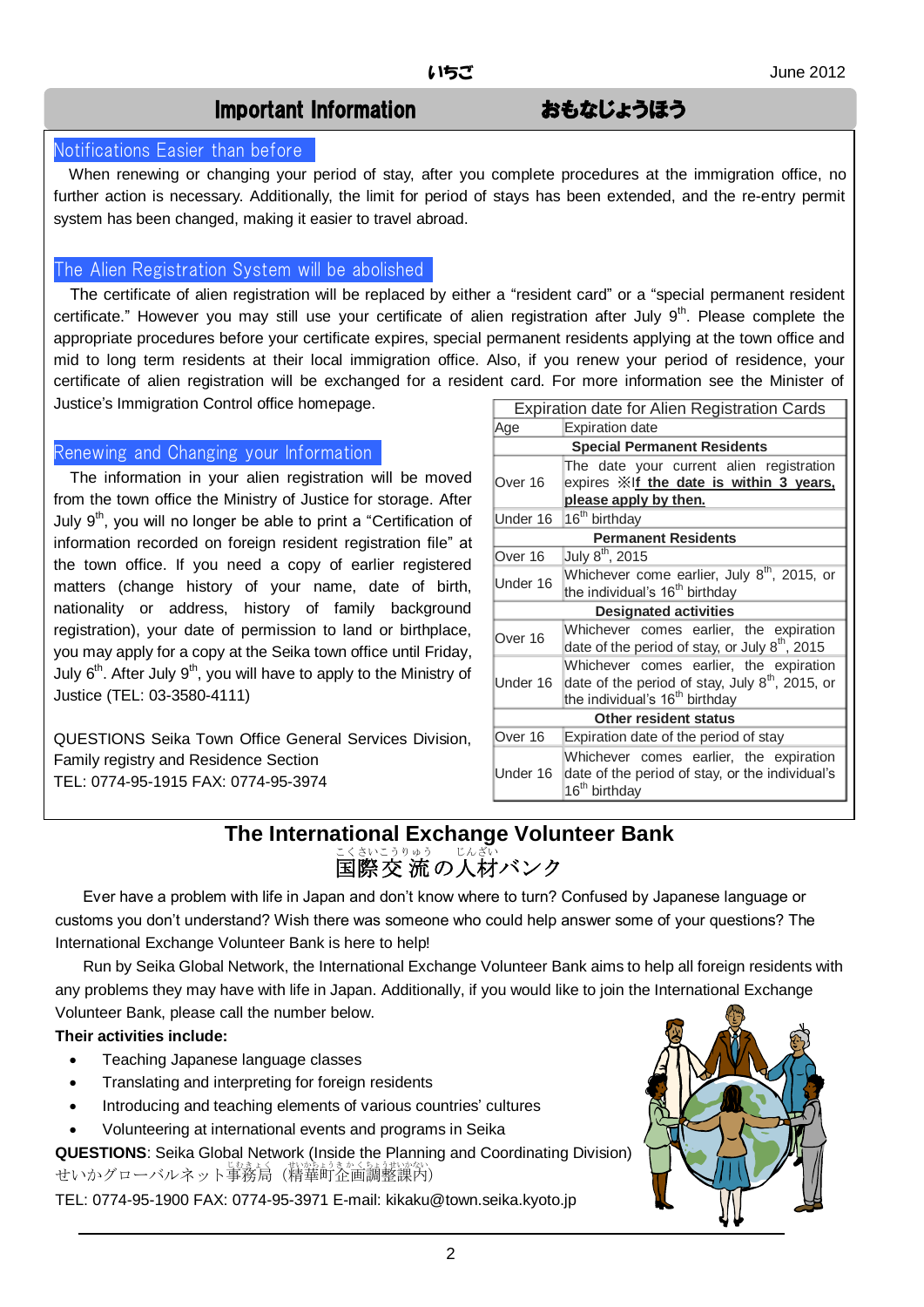# Important Information おもなじょうほう

#### Notifications Easier than before

 When renewing or changing your period of stay, after you complete procedures at the immigration office, no further action is necessary. Additionally, the limit for period of stays has been extended, and the re-entry permit system has been changed, making it easier to travel abroad.

#### The Alien Registration System will be abolished

The certificate of alien registration will be replaced by either a "resident card" or a "special permanent resident certificate." However you may still use your certificate of alien registration after July  $9<sup>th</sup>$ . Please complete the appropriate procedures before your certificate expires, special permanent residents applying at the town office and mid to long term residents at their local immigration office. Also, if you renew your period of residence, your certificate of alien registration will be exchanged for a resident card. For more information see the Minister of Justice's Immigration Control office homepage.

#### Renewing and Changing your Information

The information in your alien registration will be moved from the town office the Ministry of Justice for storage. After July  $9<sup>th</sup>$ , you will no longer be able to print a "Certification of information recorded on foreign resident registration file" at the town office. If you need a copy of earlier registered matters (change history of your name, date of birth, nationality or address, history of family background registration), your date of permission to land or birthplace, you may apply for a copy at the Seika town office until Friday, July  $6<sup>th</sup>$ . After July  $9<sup>th</sup>$ , you will have to apply to the Ministry of Justice (TEL: 03-3580-4111)

QUESTIONS Seika Town Office General Services Division, Family registry and Residence Section TEL: 0774-95-1915 FAX: 0774-95-3974

| Expiration date for Alien Registration Cards |                                                                                                                                                      |  |  |  |
|----------------------------------------------|------------------------------------------------------------------------------------------------------------------------------------------------------|--|--|--|
| Age                                          | <b>Expiration date</b>                                                                                                                               |  |  |  |
|                                              | <b>Special Permanent Residents</b>                                                                                                                   |  |  |  |
| Over 16                                      | The date your current alien registration<br>expires <b>XIf the date is within 3 years</b> ,<br>please apply by then.                                 |  |  |  |
| Under 16                                     | 16 <sup>th</sup> birthday                                                                                                                            |  |  |  |
| <b>Permanent Residents</b>                   |                                                                                                                                                      |  |  |  |
| Over 16                                      | July 8 <sup>th</sup> , 2015                                                                                                                          |  |  |  |
| Under 16                                     | Whichever come earlier, July 8 <sup>th</sup> , 2015, or<br>the individual's 16 <sup>th</sup> birthday                                                |  |  |  |
| <b>Designated activities</b>                 |                                                                                                                                                      |  |  |  |
| Over 16                                      | Whichever comes earlier, the expiration<br>date of the period of stay, or July 8 <sup>th</sup> , 2015                                                |  |  |  |
| Under 16                                     | Whichever comes earlier, the expiration<br>date of the period of stay, July 8 <sup>th</sup> , 2015, or<br>the individual's 16 <sup>th</sup> birthday |  |  |  |
| Other resident status                        |                                                                                                                                                      |  |  |  |
| Over 16                                      | Expiration date of the period of stay                                                                                                                |  |  |  |
| Under 16                                     | Whichever comes earlier, the expiration<br>date of the period of stay, or the individual's<br>16 <sup>th</sup> birthday                              |  |  |  |

# **The International Exchange Volunteer Bank** <u>こくさいこうりゅう</u> じんざい<br>国際交 流の人材バンク

Ever have a problem with life in Japan and don't know where to turn? Confused by Japanese language or customs you don't understand? Wish there was someone who could help answer some of your questions? The International Exchange Volunteer Bank is here to help!

Run by Seika Global Network, the International Exchange Volunteer Bank aims to help all foreign residents with any problems they may have with life in Japan. Additionally, if you would like to join the International Exchange Volunteer Bank, please call the number below.

#### **Their activities include:**

- **•** Teaching Japanese language classes
- Translating and interpreting for foreign residents
- Introducing and teaching elements of various countries' cultures
- Volunteering at international events and programs in Seika

**QUESTIONS**: Seika Global Network (Inside the Planning and Coordinating Division) せいかグローバルネット事務局(精華町企画調整課内)

TEL: 0774-95-1900 FAX: 0774-95-3971 E-mail: kikaku@town.seika.kyoto.jp

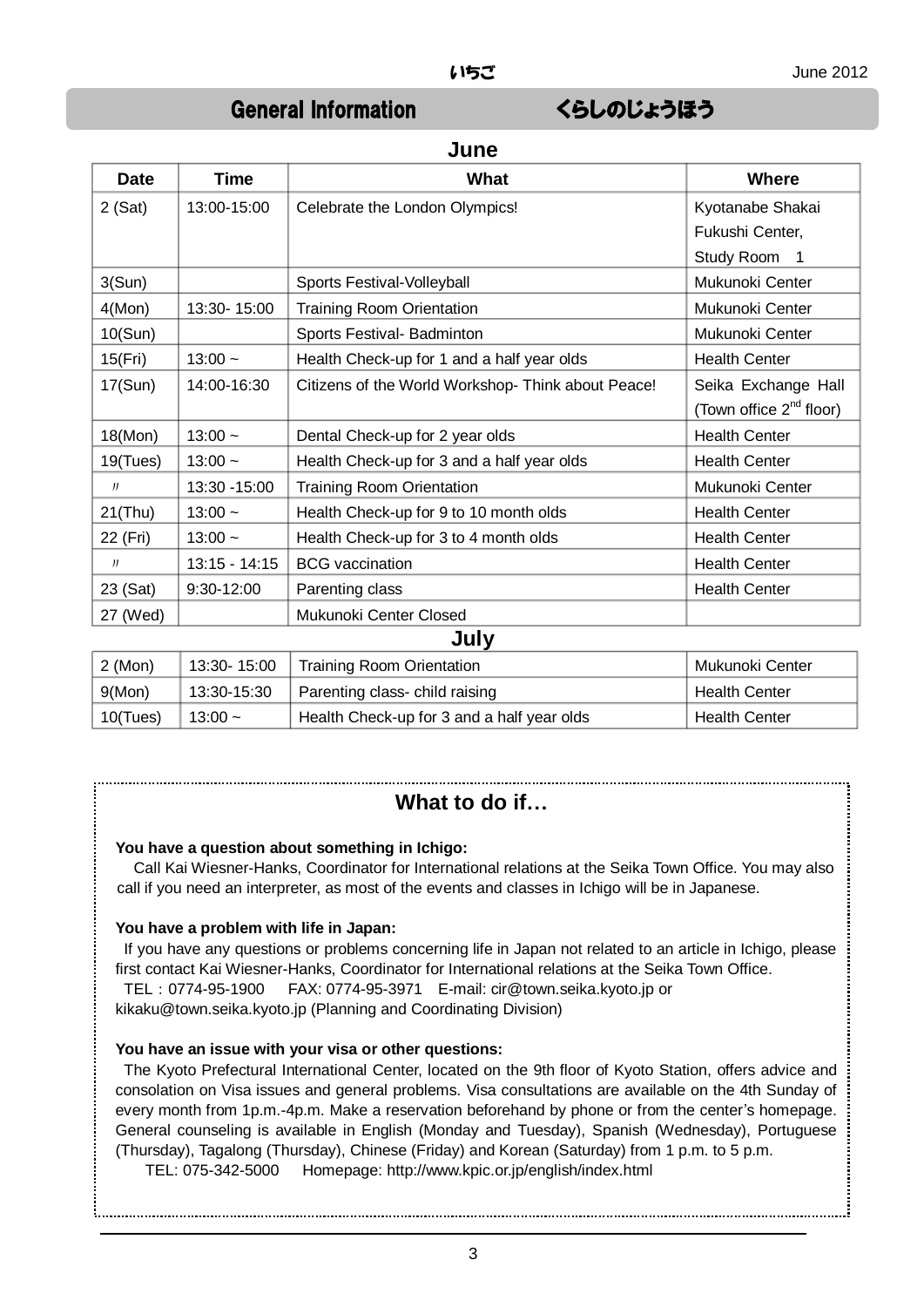# General Information くらしのじょうほう

#### **June**

| <b>Date</b> | Time            | <b>What</b>                                        | <b>Where</b>                 |  |  |  |
|-------------|-----------------|----------------------------------------------------|------------------------------|--|--|--|
| $2$ (Sat)   | 13:00-15:00     | Celebrate the London Olympics!                     | Kyotanabe Shakai             |  |  |  |
|             |                 |                                                    | Fukushi Center,              |  |  |  |
|             |                 |                                                    | Study Room 1                 |  |  |  |
| 3(Sun)      |                 | Sports Festival-Volleyball                         | Mukunoki Center              |  |  |  |
| 4(Mon)      | 13:30-15:00     | <b>Training Room Orientation</b>                   | Mukunoki Center              |  |  |  |
| 10(Sun)     |                 | Sports Festival- Badminton                         | Mukunoki Center              |  |  |  |
| 15(Fri)     | $13:00 -$       | Health Check-up for 1 and a half year olds         | <b>Health Center</b>         |  |  |  |
| 17(Sun)     | 14:00-16:30     | Citizens of the World Workshop- Think about Peace! | Seika Exchange Hall          |  |  |  |
|             |                 |                                                    | (Town office $2^{nd}$ floor) |  |  |  |
| 18(Mon)     | $13:00 -$       | Dental Check-up for 2 year olds                    | <b>Health Center</b>         |  |  |  |
| 19(Tues)    | $13:00 -$       | Health Check-up for 3 and a half year olds         | <b>Health Center</b>         |  |  |  |
| $J\bar{J}$  | 13:30 - 15:00   | <b>Training Room Orientation</b>                   | Mukunoki Center              |  |  |  |
| $21$ (Thu)  | $13:00 -$       | Health Check-up for 9 to 10 month olds             | <b>Health Center</b>         |  |  |  |
| 22 (Fri)    | $13:00 -$       | Health Check-up for 3 to 4 month olds              | <b>Health Center</b>         |  |  |  |
| $J\bar{J}$  | $13:15 - 14:15$ | <b>BCG</b> vaccination                             | <b>Health Center</b>         |  |  |  |
| 23 (Sat)    | 9:30-12:00      | Parenting class                                    | <b>Health Center</b>         |  |  |  |
| 27 (Wed)    |                 | Mukunoki Center Closed                             |                              |  |  |  |
| July        |                 |                                                    |                              |  |  |  |

# 2 (Mon) | 13:30- 15:00 | Training Room Orientation | Mukunoki Center 9(Mon) | 13:30-15:30 | Parenting class- child raising | Health Center 10(Tues) 13:00 ~ Health Check-up for 3 and a half year olds Health Center

# **What to do if…**

#### **You have a question about something in Ichigo:**

Call Kai Wiesner-Hanks, Coordinator for International relations at the Seika Town Office. You may also call if you need an interpreter, as most of the events and classes in Ichigo will be in Japanese.

#### **You have a problem with life in Japan:**

If you have any questions or problems concerning life in Japan not related to an article in Ichigo, please first contact Kai Wiesner-Hanks, Coordinator for International relations at the Seika Town Office. TEL:0774-95-1900 FAX: 0774-95-3971 E-mail: cir@town.seika.kyoto.jp or kikaku@town.seika.kyoto.jp (Planning and Coordinating Division)

#### **You have an issue with your visa or other questions:**

The Kyoto Prefectural International Center, located on the 9th floor of Kyoto Station, offers advice and consolation on Visa issues and general problems. Visa consultations are available on the 4th Sunday of every month from 1p.m.-4p.m. Make a reservation beforehand by phone or from the center's homepage. General counseling is available in English (Monday and Tuesday), Spanish (Wednesday), Portuguese (Thursday), Tagalong (Thursday), Chinese (Friday) and Korean (Saturday) from 1 p.m. to 5 p.m.

TEL: 075-342-5000 Homepage: http://www.kpic.or.jp/english/index.html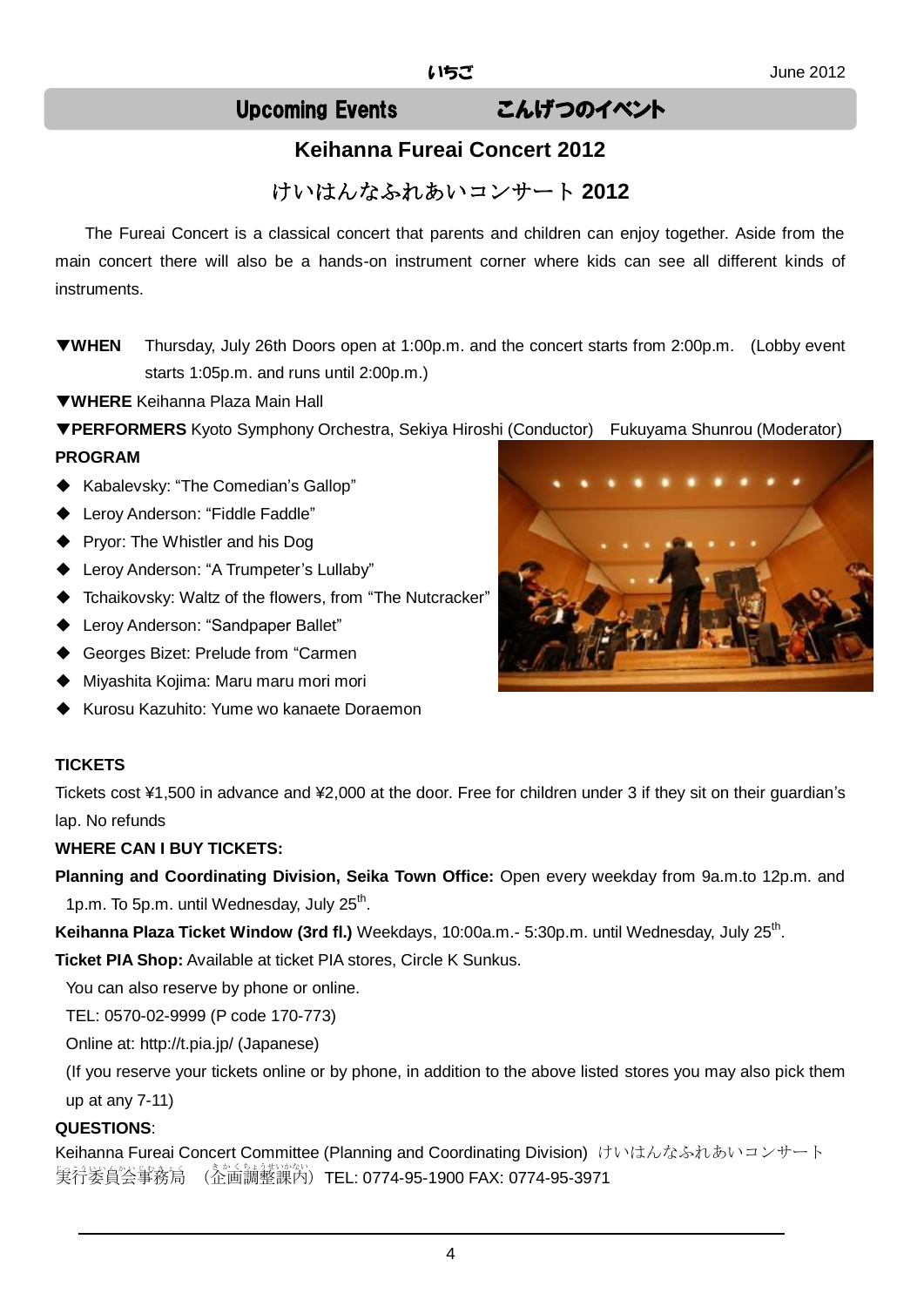# Upcoming Events こんげつのイベント

# **Keihanna Fureai Concert 2012**

# けいはんなふれあいコンサート **2012**

The Fureai Concert is a classical concert that parents and children can enjoy together. Aside from the main concert there will also be a hands-on instrument corner where kids can see all different kinds of instruments.

▼**WHEN** Thursday, July 26th Doors open at 1:00p.m. and the concert starts from 2:00p.m. (Lobby event starts 1:05p.m. and runs until 2:00p.m.)

▼**WHERE** Keihanna Plaza Main Hall

▼**PERFORMERS** Kyoto Symphony Orchestra, Sekiya Hiroshi (Conductor) Fukuyama Shunrou (Moderator)

### **PROGRAM**

- ◆ Kabalevsky: "The Comedian's Gallop"
- ◆ Lerov Anderson: "Fiddle Faddle"
- ◆ Prvor: The Whistler and his Dog
- ◆ Leroy Anderson: "A Trumpeter's Lullaby"
- ◆ Tchaikovsky: Waltz of the flowers, from "The Nutcracker"
- ◆ Leroy Anderson: "Sandpaper Ballet"
- ◆ Georges Bizet: Prelude from "Carmen
- ◆ Miyashita Kojima: Maru maru mori mori
- ◆ Kurosu Kazuhito: Yume wo kanaete Doraemon

### **TICKETS**

Tickets cost ¥1,500 in advance and ¥2,000 at the door. Free for children under 3 if they sit on their guardian's lap. No refunds

### **WHERE CAN I BUY TICKETS:**

**Planning and Coordinating Division, Seika Town Office:** Open every weekday from 9a.m.to 12p.m. and 1p.m. To 5p.m. until Wednesday, July 25<sup>th</sup>.

Keihanna Plaza Ticket Window (3rd fl.) Weekdays, 10:00a.m.- 5:30p.m. until Wednesday, July 25<sup>th</sup>.

**Ticket PIA Shop:** Available at ticket PIA stores, Circle K Sunkus.

You can also reserve by phone or online.

TEL: 0570-02-9999 (P code 170-773)

Online at: http://t.pia.jp/ (Japanese)

(If you reserve your tickets online or by phone, in addition to the above listed stores you may also pick them up at any 7-11)

### **QUESTIONS**:

Keihanna Fureai Concert Committee (Planning and Coordinating Division) けいはんなふれあいコンサート –<br>|実行萎賞会事務局 (企画調整課内) TEL: 0774-95-1900 FAX: 0774-95-3971

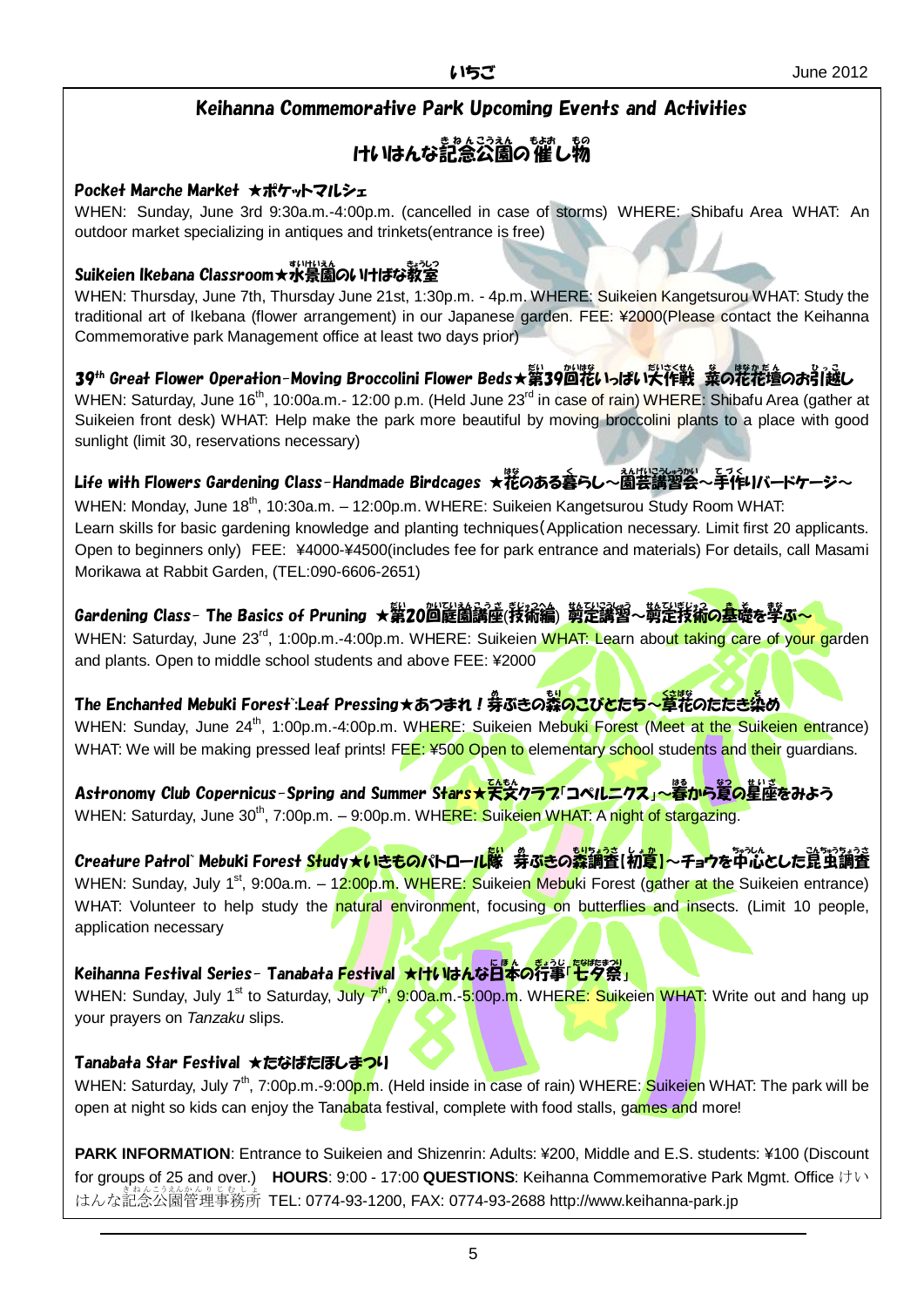## Keihanna Commemorative Park Upcoming Events and Activities

# けいはんな記念公園の催し物

#### Pocket Marche Market ★ポケットマルシェ

WHEN: Sunday, June 3rd 9:30a.m.-4:00p.m. (cancelled in case of storms) WHERE: Shibafu Area WHAT: An outdoor market specializing in antiques and trinkets(entrance is free)

## Suikeien Ikebana Classroom★水祟嵐のいけばな教室

WHEN: Thursday, June 7th, Thursday June 21st, 1:30p.m. - 4p.m. WHERE: Suikeien Kangetsurou WHAT: Study the traditional art of Ikebana (flower arrangement) in our Japanese garden. FEE: ¥2000(Please contact the Keihanna Commemorative park Management office at least two days prior)

39<sup>th</sup> Great Flower Operation-Moving Broccolini Flower Beds★第39回花い5ぱい长作戦 桑の花花壇のお引越し

WHEN: Saturday, June 16<sup>th</sup>, 10:00a.m.- 12:00 p.m. (Held June 23<sup>rd</sup> in case of rain) WHERE: Shibafu Area (gather at Suikeien front desk) WHAT: Help make the park more beautiful by moving broccolini plants to a place with good sunlight (limit 30, reservations necessary)

# Life with Flowers Gardening Class-Handmade Birdcages ★花のある暮らし~阖芸講習会~手作りバードケージ~

WHEN: Monday, June 18<sup>th</sup>, 10:30a.m. - 12:00p.m. WHERE: Suikeien Kangetsurou Study Room WHAT: Learn skills for basic gardening knowledge and planting techniques(Application necessary. Limit first 20 applicants. Open to beginners only) FEE: ¥4000-¥4500(includes fee for park entrance and materials) For details, call Masami Morikawa at Rabbit Garden, (TEL:090-6606-2651)

## Gardening Class- The Basics of Pruning ★第20回庭園講座(技術編) 剪定講習~剪定技<mark>術の基</mark>礎を学ぶ<mark>~</mark>

WHEN: Saturday, June 23<sup>rd</sup>, 1:00p.m.-4:00p.m. WHERE: Suikeien WHAT: Learn about taking care of your garden and plants. Open to middle school students and above FEE: ¥2000

# The Enchanted Mebuki Forest`:Leaf Pressing★あつまれ!券ぶきの蒸<mark>のこびとたち~輦</mark>粍のたたき染め

WHEN: Sunday, June 24<sup>th</sup>, 1:00p.m.-4:00p.m. WHERE: Suikeien Mebuki Forest (Meet at the Suikeien entrance) WHAT: We will be making pressed leaf prints! FEE: ¥500 Open to elementary school students and their guardians.

Astronomy Club Copernicus-Spring and Summer Stars★天文クラフ「コペルニクス」~暮から夏の星座をみよう WHEN: Saturday, June 30<sup>th</sup>, 7:00p.m. – 9:00p.m. WHERE: Suikeien WHAT: A night of stargazing.

## Creature Patrol` Mebuki Forest <mark>Study★いきものパトロール隊</mark> 券ぶきの森謫査[初<mark>遺]~</mark>チョウを平心とした崑虫調査

WHEN: Sunday, July 1<sup>st</sup>, 9:00a.m. – 12:00p.m. WHERE: Suikeien Mebuki Forest (gather at the Suikeien entrance) WHAT: Volunteer to help study the natural environment, focusing on butterflies and insects. (Limit 10 people, application necessary

## Keihanna Festival Series- Tanabata <mark>F</mark>estiv<mark>al ★けいはんな日本の行事「七夕祭」</mark>

WHEN: Sunday, July 1<sup>st</sup> to Saturday, July 7<sup>th</sup>, 9:00a.m.-5:00p.m. WHERE: Suikeien WHAT: Write out and hang up your prayers on *Tanzaku* slips.

#### Tanabata Star Festival ★たなばたほしまつり

WHEN: Saturday, July 7<sup>th</sup>, 7:00p.m.-9:00<mark>p.m</mark>. (Held inside in case of rain) WHERE: <mark>Suikeie</mark>n WHAT: The park will be open at night so kids can enjoy the Tanabata festival, complete with food stalls, games and more!

**PARK INFORMATION**: Entrance to Suikeien and Shizenrin: Adults: ¥200, Middle and E.S. students: ¥100 (Discount for groups of 25 and over.) **HOURS**: 9:00 - 17:00 **QUESTIONS**: Keihanna Commemorative Park Mgmt. Office けい はんな記念公園管理事務所 TEL: 0774-93-1200, FAX: 0774-93-2688 http://www.keihanna-park.jp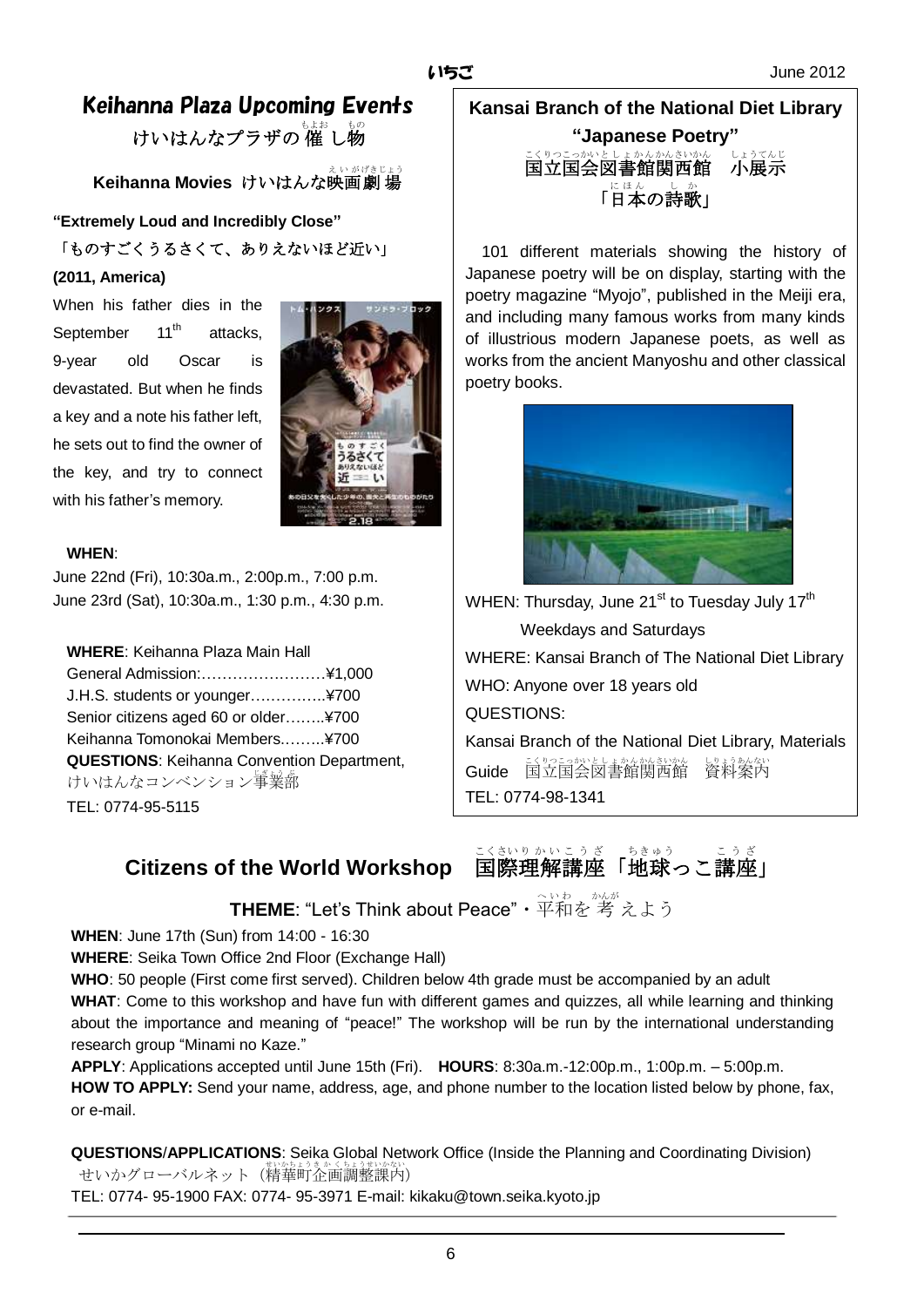# Keihanna Plaza Upcoming Events

けいはんなプラザの 催 し物

**Keihanna Movies** けいはんな映画劇場

**"Extremely Loud and Incredibly Close"** 「ものすごくうるさくて、ありえないほど近い」

## **(2011, America)**

When his father dies in the September 11<sup>th</sup> attacks, 9-year old Oscar is devastated. But when he finds a key and a note his father left, he sets out to find the owner of the key, and try to connect with his father's memory.



#### **WHEN**:

June 22nd (Fri), 10:30a.m., 2:00p.m., 7:00 p.m. June 23rd (Sat), 10:30a.m., 1:30 p.m., 4:30 p.m.

**WHERE**: Keihanna Plaza Main Hall General Admission:……………………¥1,000 J.H.S. students or younger….………..¥700 Senior citizens aged 60 or older……..¥700 Keihanna Tomonokai Members.……..¥700

**QUESTIONS**: Keihanna Convention Department, けいはんなコンベンション<sup>5</sup>掌部 TEL: 0774-95-5115

# **Citizens of the World Workshop**

**Kansai Branch of the National Diet Library "Japanese Poetry"** こくりつこっかいとしょかんかんさいかん · しょうてんじ<br>· **小展示** 「<sup>にほん</sup>の詩歌」

101 different materials showing the history of Japanese poetry will be on display, starting with the poetry magazine "Myojo", published in the Meiji era, and including many famous works from many kinds of illustrious modern Japanese poets, as well as works from the ancient Manyoshu and other classical poetry books.



WHEN: Thursday, June 21<sup>st</sup> to Tuesday July 17<sup>th</sup> Weekdays and Saturdays WHERE: Kansai Branch of The National Diet Library WHO: Anyone over 18 years old QUESTIONS: Kansai Branch of the National Diet Library, Materials Guide 国立国会図書館関西館 資料案内 TEL: 0774-98-1341

ちきゅう

こうざ

理解 講座 「地球っこ 講座 」

こくさい りかい こうざ

**THEME**: "Let's Think about Peace"・平和を考えよう

**WHEN**: June 17th (Sun) from 14:00 - 16:30

**WHERE**: Seika Town Office 2nd Floor (Exchange Hall)

**WHO**: 50 people (First come first served). Children below 4th grade must be accompanied by an adult **WHAT**: Come to this workshop and have fun with different games and quizzes, all while learning and thinking about the importance and meaning of "peace!" The workshop will be run by the international understanding research group "Minami no Kaze."

**APPLY**: Applications accepted until June 15th (Fri). **HOURS**: 8:30a.m.-12:00p.m., 1:00p.m. – 5:00p.m. **HOW TO APPLY:** Send your name, address, age, and phone number to the location listed below by phone, fax, or e-mail.

**QUESTIONS**/**APPLICATIONS**: Seika Global Network Office (Inside the Planning and Coordinating Division) せいかグローバルネット (精華町企画調整課内)

TEL: 0774- 95-1900 FAX: 0774- 95-3971 E-mail: kikaku@town.seika.kyoto.jp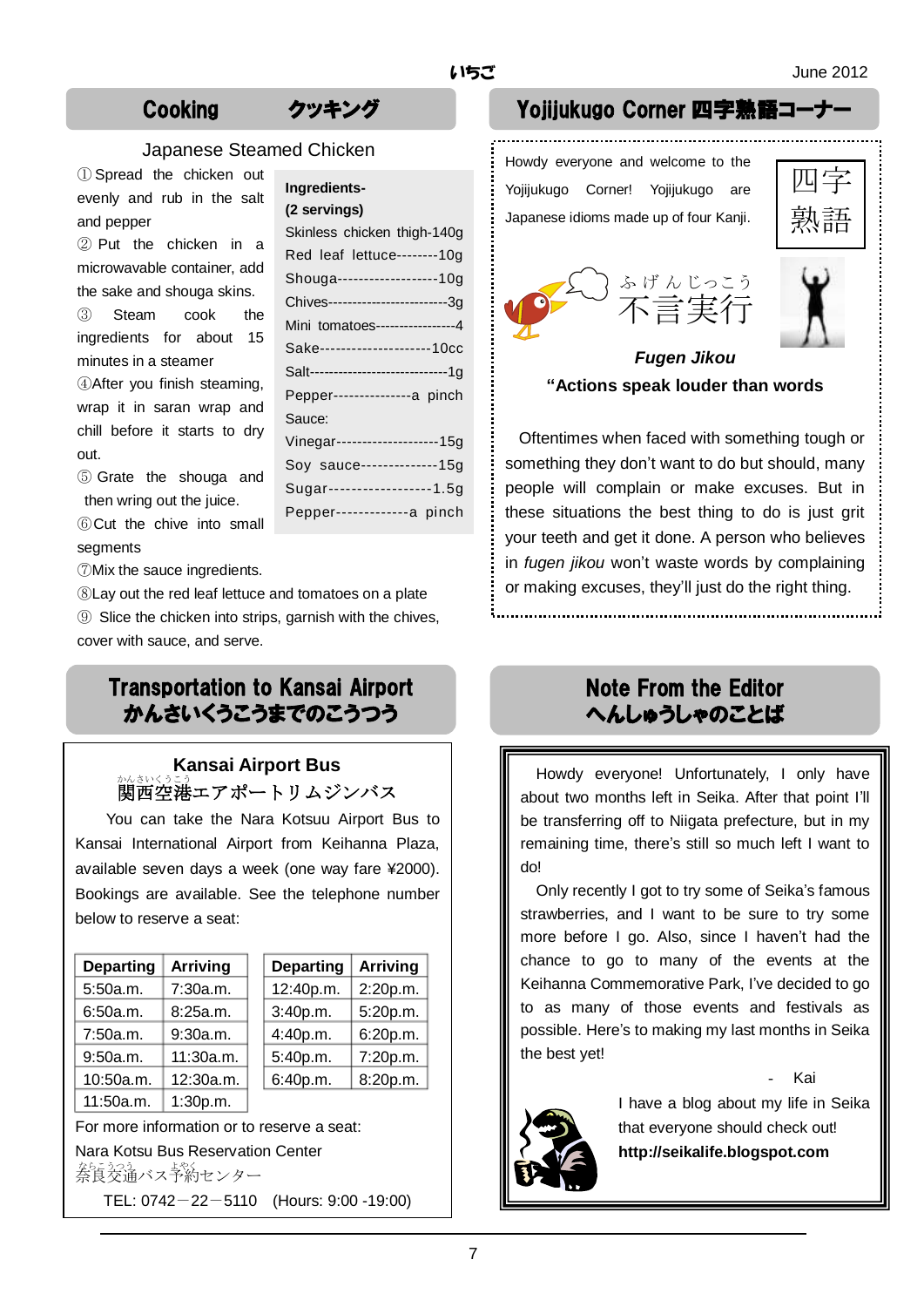**Ingredients- (2 servings)** 

Sauce:

Skinless chicken thigh-140g Red leaf lettuce--------10g Shouga-------------------10g Chives-------------------------3g Mini tomatoes-----------------4 Sake---------------------10cc Salt-----------------------------1g Pepper---------------a pinch

Vinegar--------------------15g Soy sauce--------------15g Sugar------------------1.5g Pepper-------------a pinch

#### Japanese Steamed Chicken

① Spread the chicken out evenly and rub in the salt and pepper

② Put the chicken in a microwavable container, add the sake and shouga skins.

③ Steam cook the ingredients for about 15 minutes in a steamer

④After you finish steaming, wrap it in saran wrap and chill before it starts to dry out.

⑤ Grate the shouga and then wring out the juice.

⑥Cut the chive into small segments

⑦Mix the sauce ingredients.

⑧Lay out the red leaf lettuce and tomatoes on a plate

⑨ Slice the chicken into strips, garnish with the chives, cover with sauce, and serve.

# Transportation to Kansai Airport かんさいくうこうまでのこうつう

# **Kansai Airport Bus** 。。。。。。<br>関西空港エアポートリムジンバス

You can take the Nara Kotsuu Airport Bus to Kansai International Airport from Keihanna Plaza, available seven days a week (one way fare ¥2000). Bookings are available. See the telephone number below to reserve a seat:

| <b>Departing</b> | <b>Arriving</b> | <b>Departing</b> | <b>Arriving</b> |
|------------------|-----------------|------------------|-----------------|
| 5:50a.m.         | 7:30a.m.        | 12:40p.m.        | 2:20p.m.        |
| 6:50a.m.         | 8:25a.m.        | 3:40p.m.         | 5:20p.m.        |
| 7:50a.m.         | 9:30a.m.        | 4:40p.m.         | 6:20p.m.        |
| 9:50a.m.         | 11:30a.m.       | 5:40p.m.         | 7:20p.m.        |
| 10:50a.m.        | 12:30a.m.       | 6:40p.m.         | 8:20p.m.        |
| 11:50a.m.        | 1:30p.m.        |                  |                 |

| <b>Departing</b> | <b>Arriving</b> |
|------------------|-----------------|
| 12:40p.m.        | 2:20p.m.        |
| 3:40p.m.         | 5:20p.m.        |
| 4:40p.m.         | 6:20p.m.        |
| 5:40p.m.         | 7:20p.m.        |
| 6:40p.m.         | 8:20p.m.        |
|                  |                 |

For more information or to reserve a seat:

Nara Kotsu Bus Reservation Center

なにかう<br>奈良交通バス予約センター

TEL: 0742-22-5110 (Hours: 9:00 -19:00)

# Cooking クッキング Yoiijukugo Corner 四字熟語コー

Howdy everyone and welcome to the Yojijukugo Corner! Yojijukugo are Japanese idioms made up of four Kanji.







## *Fugen Jikou* **"Actions speak louder than words**

Oftentimes when faced with something tough or something they don't want to do but should, many people will complain or make excuses. But in these situations the best thing to do is just grit your teeth and get it done. A person who believes in *fugen jikou* won't waste words by complaining or making excuses, they'll just do the right thing.

# Note From the Editor へんしゅうしゃのことば

Howdy everyone! Unfortunately, I only have about two months left in Seika. After that point I'll be transferring off to Niigata prefecture, but in my remaining time, there's still so much left I want to do!

Only recently I got to try some of Seika's famous strawberries, and I want to be sure to try some more before I go. Also, since I haven't had the chance to go to many of the events at the Keihanna Commemorative Park, I've decided to go to as many of those events and festivals as possible. Here's to making my last months in Seika the best yet!

- Kai



I have a blog about my life in Seika that everyone should check out! **http://seikalife.blogspot.com**